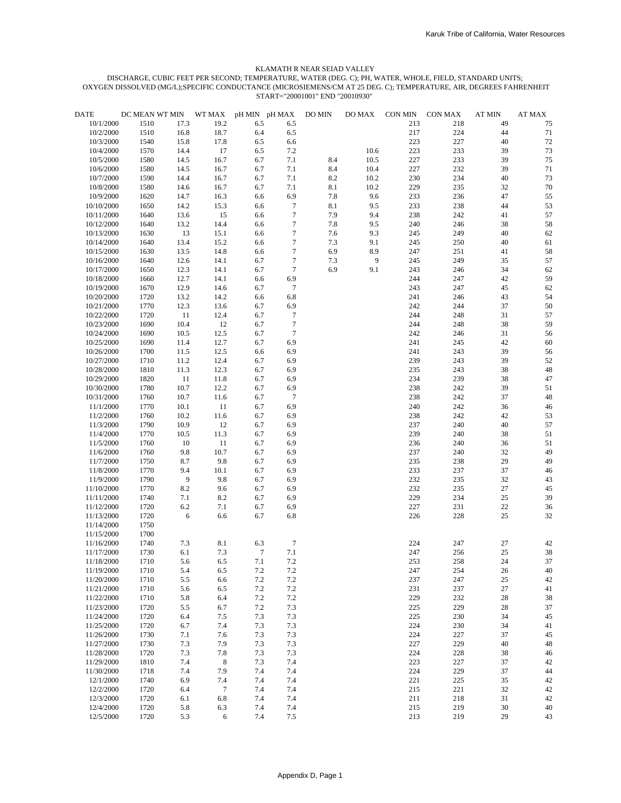| <b>DATE</b> | DC MEAN WT MIN |                | WT MAX      | pH MIN pH MAX |                  | DO MIN | $DO MAX$ | CON MIN | <b>CON MAX</b> | <b>AT MIN</b> | $\bf AT\,MAX$ |
|-------------|----------------|----------------|-------------|---------------|------------------|--------|----------|---------|----------------|---------------|---------------|
| 10/1/2000   | 1510           | 17.3           | 19.2        | 6.5           | 6.5              |        |          | 213     | 218            | 49            | 75            |
| 10/2/2000   | 1510           | 16.8           | 18.7        | 6.4           | 6.5              |        |          | 217     | 224            | 44            | 71            |
| 10/3/2000   | 1540           | 15.8           | 17.8        | 6.5           | 6.6              |        |          | 223     | 227            | 40            | $72\,$        |
| 10/4/2000   | 1570           | 14.4           | 17          | 6.5           | 7.2              |        | 10.6     | 223     | 233            | 39            | 73            |
| 10/5/2000   | 1580           | 14.5           | 16.7        | 6.7           | 7.1              | 8.4    | 10.5     | 227     | 233            | 39            | 75            |
| 10/6/2000   | 1580           | 14.5           | 16.7        | 6.7           | 7.1              | 8.4    | 10.4     | 227     | 232            | 39            | 71            |
| 10/7/2000   | 1590           | 14.4           | 16.7        | 6.7           | 7.1              | 8.2    | 10.2     | 230     | 234            | 40            | 73            |
| 10/8/2000   | 1580           | 14.6           | 16.7        | 6.7           | 7.1              | 8.1    | 10.2     | 229     | 235            | 32            | $70\,$        |
| 10/9/2000   | 1620           | 14.7           | 16.3        | 6.6           | 6.9              | 7.8    | 9.6      | 233     | 236            | 47            | 55            |
| 10/10/2000  | 1650           | 14.2           | 15.3        | 6.6           | $\boldsymbol{7}$ | 8.1    | 9.5      | 233     | 238            | 44            | 53            |
| 10/11/2000  | 1640           | 13.6           | 15          | 6.6           | $\boldsymbol{7}$ | 7.9    | 9.4      | 238     | 242            | 41            | 57            |
| 10/12/2000  | 1640           | 13.2           | 14.4        | 6.6           | $\boldsymbol{7}$ | 7.8    | 9.5      | 240     | 246            | 38            | 58            |
| 10/13/2000  | 1630           | 13             | 15.1        | 6.6           | $\boldsymbol{7}$ | 7.6    | 9.3      | 245     | 249            | 40            | 62            |
| 10/14/2000  | 1640           | 13.4           | 15.2        | 6.6           | $\boldsymbol{7}$ | 7.3    | 9.1      | 245     | 250            | 40            | 61            |
| 10/15/2000  | 1630           | 13.5           | 14.8        | 6.6           | $\boldsymbol{7}$ | 6.9    | 8.9      | 247     | 251            | 41            | 58            |
| 10/16/2000  | 1640           | 12.6           | 14.1        | 6.7           | $\tau$           | 7.3    | 9        | 245     | 249            | 35            | 57            |
| 10/17/2000  | 1650           | 12.3           | 14.1        | 6.7           | $\boldsymbol{7}$ | 6.9    | 9.1      | 243     | 246            | 34            | 62            |
| 10/18/2000  | 1660           | 12.7           | 14.1        | 6.6           | 6.9              |        |          | 244     | 247            | 42            | 59            |
| 10/19/2000  |                | 12.9           | 14.6        | 6.7           | $\tau$           |        |          | 243     | 247            | 45            | 62            |
|             | 1670           |                |             |               |                  |        |          |         |                |               |               |
| 10/20/2000  | 1720           | 13.2           | 14.2        | 6.6           | 6.8              |        |          | 241     | 246            | 43            | 54            |
| 10/21/2000  | 1770           | 12.3           | 13.6        | 6.7           | 6.9              |        |          | 242     | 244            | 37            | 50            |
| 10/22/2000  | 1720           | 11             | 12.4        | 6.7           | $\tau$           |        |          | 244     | 248            | 31            | 57            |
| 10/23/2000  | 1690           | 10.4           | 12          | 6.7           | $\tau$           |        |          | 244     | 248            | 38            | 59            |
| 10/24/2000  | 1690           | 10.5           | 12.5        | 6.7           | $\tau$           |        |          | 242     | 246            | 31            | 56            |
| 10/25/2000  | 1690           | 11.4           | 12.7        | 6.7           | 6.9              |        |          | 241     | 245            | 42            | 60            |
| 10/26/2000  | 1700           | 11.5           | 12.5        | 6.6           | 6.9              |        |          | 241     | 243            | 39            | 56            |
| 10/27/2000  | 1710           | 11.2           | 12.4        | 6.7           | 6.9              |        |          | 239     | 243            | 39            | 52            |
| 10/28/2000  | 1810           | 11.3           | 12.3        | 6.7           | 6.9              |        |          | 235     | 243            | 38            | $\sqrt{48}$   |
| 10/29/2000  | 1820           | 11             | 11.8        | 6.7           | 6.9              |        |          | 234     | 239            | 38            | 47            |
| 10/30/2000  | 1780           | 10.7           | 12.2        | 6.7           | 6.9              |        |          | 238     | 242            | 39            | 51            |
| 10/31/2000  | 1760           | 10.7           | 11.6        | 6.7           | $\tau$           |        |          | 238     | 242            | 37            | $\sqrt{48}$   |
| 11/1/2000   | 1770           | 10.1           | 11          | 6.7           | 6.9              |        |          | 240     | 242            | 36            | $46\,$        |
| 11/2/2000   | 1760           | 10.2           | 11.6        | 6.7           | 6.9              |        |          | 238     | 242            | 42            | 53            |
| 11/3/2000   | 1790           | 10.9           | 12          | 6.7           | 6.9              |        |          | 237     | 240            | 40            | 57            |
| 11/4/2000   | 1770           | 10.5           | 11.3        | 6.7           | 6.9              |        |          | 239     | 240            | 38            | 51            |
| 11/5/2000   | 1760           | 10             | 11          | 6.7           | 6.9              |        |          | 236     | 240            | 36            | 51            |
| 11/6/2000   | 1760           | 9.8            | 10.7        | 6.7           | 6.9              |        |          | 237     | 240            | 32            | 49            |
| 11/7/2000   | 1750           | 8.7            | 9.8         | 6.7           | 6.9              |        |          | 235     | 238            | 29            | 49            |
| 11/8/2000   | 1770           | 9.4            | 10.1        | 6.7           | 6.9              |        |          | 233     | 237            | 37            | 46            |
| 11/9/2000   | 1790           | $\overline{9}$ | 9.8         | 6.7           | 6.9              |        |          | 232     | 235            | 32            | 43            |
| 11/10/2000  | 1770           | 8.2            | 9.6         | 6.7           | 6.9              |        |          | 232     | 235            | 27            | $45\,$        |
| 11/11/2000  | 1740           | 7.1            | 8.2         | 6.7           | 6.9              |        |          | 229     | 234            | 25            | 39            |
| 11/12/2000  | 1720           | $6.2\,$        | 7.1         | 6.7           | 6.9              |        |          | 227     | 231            | 22            | 36            |
| 11/13/2000  | 1720           | 6              | 6.6         | 6.7           | 6.8              |        |          | 226     | 228            | 25            | 32            |
| 11/14/2000  | 1750           |                |             |               |                  |        |          |         |                |               |               |
| 11/15/2000  | 1700           |                |             |               |                  |        |          |         |                |               |               |
| 11/16/2000  | 1740           | 7.3            | 8.1         | 6.3           | 7                |        |          | 224     | 247            | 27            | 42            |
| 11/17/2000  | 1730           | 6.1            | 7.3         | $\tau$        | 7.1              |        |          | 247     | 256            | 25            | 38            |
| 11/18/2000  | 1710           | 5.6            | 6.5         | 7.1           | 7.2              |        |          | 253     | 258            | 24            | 37            |
| 11/19/2000  | 1710           | 5.4            | 6.5         | 7.2           | $7.2\,$          |        |          | 247     | 254            | 26            | 40            |
| 11/20/2000  | 1710           | 5.5            | 6.6         | 7.2           | 7.2              |        |          | 237     | 247            | 25            | 42            |
| 11/21/2000  | 1710           | 5.6            | 6.5         | 7.2           | 7.2              |        |          | 231     | 237            | 27            | 41            |
| 11/22/2000  | 1710           | 5.8            | 6.4         | $7.2\,$       | 7.2              |        |          | 229     | 232            | 28            | 38            |
| 11/23/2000  | 1720           | 5.5            | 6.7         | 7.2           | 7.3              |        |          | 225     | 229            | $28\,$        | 37            |
| 11/24/2000  | 1720           | 6.4            | 7.5         | 7.3           | 7.3              |        |          | 225     | 230            | 34            | $45\,$        |
| 11/25/2000  | 1720           | 6.7            | 7.4         | 7.3           | 7.3              |        |          | 224     | 230            | 34            | 41            |
| 11/26/2000  | 1730           | 7.1            | 7.6         | 7.3           | 7.3              |        |          | 224     | 227            | 37            | $45\,$        |
| 11/27/2000  | 1730           | 7.3            | 7.9         | 7.3           | 7.3              |        |          | 227     | 229            | 40            | 48            |
| 11/28/2000  | 1720           | 7.3            | 7.8         | 7.3           | 7.3              |        |          | 224     | 228            | 38            | 46            |
| 11/29/2000  | 1810           | 7.4            | $\,$ 8 $\,$ | 7.3           | 7.4              |        |          | 223     | 227            | 37            | 42            |
| 11/30/2000  | 1718           | 7.4            | 7.9         | 7.4           | 7.4              |        |          | 224     | 229            | 37            | 44            |
| 12/1/2000   | 1740           | 6.9            | 7.4         | 7.4           | 7.4              |        |          | 221     | 225            | 35            | 42            |
| 12/2/2000   | 1720           | 6.4            | $\tau$      | 7.4           | 7.4              |        |          | 215     | 221            | 32            | 42            |
| 12/3/2000   | 1720           | 6.1            | 6.8         | 7.4           | 7.4              |        |          | 211     | 218            | 31            | 42            |
| 12/4/2000   | 1720           | 5.8            | 6.3         | 7.4           | 7.4              |        |          | 215     | 219            | 30            | 40            |
| 12/5/2000   | 1720           | 5.3            | 6           | 7.4           | 7.5              |        |          | 213     | 219            | 29            | 43            |
|             |                |                |             |               |                  |        |          |         |                |               |               |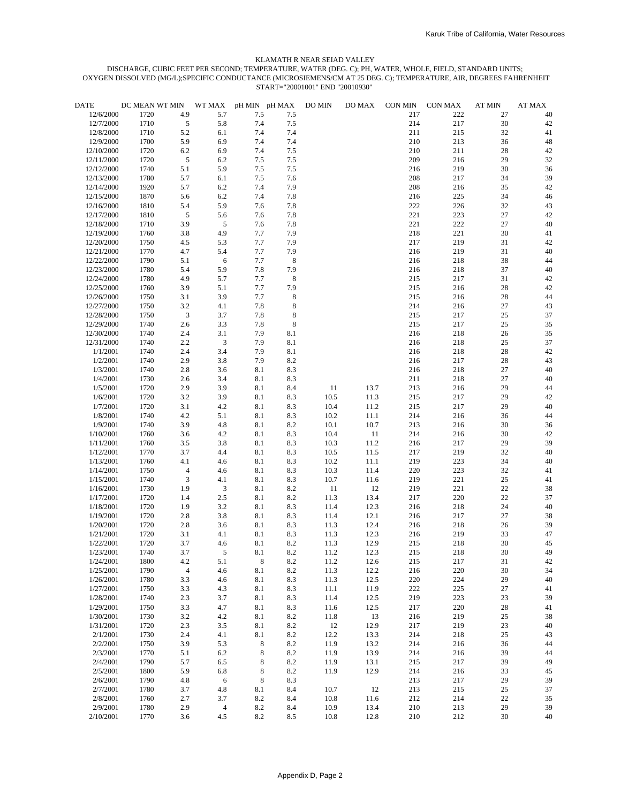| DATE                     | DC MEAN WT MIN |                | WT MAX                   |            | pH MIN pH MAX | DO MIN | DO MAX | CON MIN    | CON MAX    | <b>AT MIN</b> | <b>AT MAX</b> |
|--------------------------|----------------|----------------|--------------------------|------------|---------------|--------|--------|------------|------------|---------------|---------------|
| 12/6/2000                | 1720           | 4.9            | 5.7                      | 7.5        | 7.5           |        |        | 217        | 222        | 27            | 40            |
| 12/7/2000                | 1710           | $\sqrt{5}$     | 5.8                      | 7.4        | 7.5           |        |        | 214        | 217        | 30            | 42            |
| 12/8/2000                | 1710           | 5.2            | 6.1                      | 7.4        | 7.4           |        |        | 211        | 215        | 32            | 41            |
| 12/9/2000                | 1700           | 5.9            | 6.9                      | 7.4        | 7.4           |        |        | 210        | 213        | 36            | $48\,$        |
| 12/10/2000               | 1720           | $6.2\,$        | 6.9                      | 7.4        | 7.5           |        |        | 210        | 211        | 28            | 42            |
| 12/11/2000               | 1720           | $\overline{5}$ | 6.2                      | 7.5        | 7.5           |        |        | 209        | 216        | 29            | 32            |
| 12/12/2000               | 1740           | 5.1            | 5.9                      | $7.5\,$    | $7.5\,$       |        |        | 216        | 219        | 30            | 36            |
| 12/13/2000               | 1780           | 5.7            | $6.1\,$                  | 7.5        | 7.6           |        |        | 208        | 217        | 34            | 39            |
| 12/14/2000               | 1920           | 5.7            | 6.2                      | 7.4        | 7.9           |        |        | 208        | 216        | 35            | 42            |
| 12/15/2000               | 1870<br>1810   | 5.6<br>5.4     | 6.2<br>5.9               | 7.4<br>7.6 | 7.8<br>7.8    |        |        | 216<br>222 | 225<br>226 | 34<br>32      | $46$          |
| 12/16/2000<br>12/17/2000 | 1810           | 5              | 5.6                      | 7.6        | 7.8           |        |        | 221        | 223        | 27            | 43<br>42      |
| 12/18/2000               | 1710           | 3.9            | 5                        | 7.6        | 7.8           |        |        | 221        | 222        | 27            | 40            |
| 12/19/2000               | 1760           | 3.8            | 4.9                      | 7.7        | 7.9           |        |        | 218        | 221        | 30            | 41            |
| 12/20/2000               | 1750           | 4.5            | 5.3                      | 7.7        | 7.9           |        |        | 217        | 219        | 31            | 42            |
| 12/21/2000               | 1770           | 4.7            | 5.4                      | 7.7        | 7.9           |        |        | 216        | 219        | 31            | 40            |
| 12/22/2000               | 1790           | 5.1            | 6                        | 7.7        | $\,8\,$       |        |        | 216        | 218        | 38            | 44            |
| 12/23/2000               | 1780           | 5.4            | 5.9                      | 7.8        | 7.9           |        |        | 216        | 218        | 37            | 40            |
| 12/24/2000               | 1780           | 4.9            | 5.7                      | 7.7        | $\,8\,$       |        |        | 215        | 217        | 31            | 42            |
| 12/25/2000               | 1760           | 3.9            | 5.1                      | 7.7        | 7.9           |        |        | 215        | 216        | 28            | 42            |
| 12/26/2000               | 1750           | 3.1            | 3.9                      | 7.7        | $\bf 8$       |        |        | 215        | 216        | 28            | 44            |
| 12/27/2000               | 1750           | 3.2            | 4.1                      | 7.8        | 8             |        |        | 214        | 216        | 27            | 43            |
| 12/28/2000               | 1750           | $\mathfrak{Z}$ | 3.7                      | $7.8\,$    | $\bf 8$       |        |        | 215        | 217        | 25            | 37            |
| 12/29/2000               | 1740           | $2.6\,$        | 3.3                      | 7.8        | $\bf 8$       |        |        | 215        | 217        | 25            | 35            |
| 12/30/2000               | 1740           | 2.4            | 3.1                      | 7.9        | 8.1           |        |        | 216        | 218        | 26            | 35            |
| 12/31/2000               | 1740           | 2.2            | $\mathfrak{Z}$           | 7.9        | 8.1           |        |        | 216        | 218        | 25            | 37            |
| 1/1/2001                 | 1740           | 2.4            | 3.4                      | 7.9        | 8.1           |        |        | 216        | 218        | 28            | 42            |
| 1/2/2001                 | 1740           | 2.9            | 3.8                      | 7.9        | 8.2           |        |        | 216        | 217        | 28            | 43            |
| 1/3/2001                 | 1740           | $2.8\,$        | 3.6                      | 8.1        | 8.3           |        |        | 216        | 218        | 27            | 40            |
| 1/4/2001                 | 1730           | $2.6\,$        | 3.4                      | 8.1        | 8.3           |        |        | 211        | 218        | 27            | 40            |
| 1/5/2001                 | 1720           | 2.9            | 3.9                      | 8.1        | 8.4           | 11     | 13.7   | 213        | 216        | 29            | 44            |
| 1/6/2001                 | 1720           | 3.2            | 3.9                      | 8.1        | 8.3           | 10.5   | 11.3   | 215        | 217        | 29            | 42            |
| 1/7/2001                 | 1720           | 3.1            | 4.2                      | 8.1        | 8.3           | 10.4   | 11.2   | 215        | 217        | 29            | 40            |
| 1/8/2001                 | 1740           | 4.2            | 5.1                      | 8.1        | 8.3           | 10.2   | 11.1   | 214        | 216        | 36            | 44            |
| 1/9/2001                 | 1740           | 3.9            | 4.8                      | $8.1\,$    | $8.2\,$       | 10.1   | 10.7   | 213        | 216        | 30            | 36            |
| 1/10/2001                | 1760           | 3.6            | 4.2                      | 8.1        | 8.3           | 10.4   | 11     | 214        | 216        | 30            | 42            |
| 1/11/2001                | 1760           | 3.5            | 3.8                      | 8.1        | 8.3           | 10.3   | 11.2   | 216        | 217        | 29            | 39            |
| 1/12/2001                | 1770           | 3.7            | 4.4                      | 8.1        | 8.3           | 10.5   | 11.5   | 217        | 219        | 32            | 40            |
| 1/13/2001                | 1760           | 4.1            | 4.6                      | $8.1\,$    | 8.3           | 10.2   | 11.1   | 219        | 223        | 34            | 40            |
| 1/14/2001                | 1750           | $\overline{4}$ | 4.6                      | 8.1        | 8.3           | 10.3   | 11.4   | 220        | 223        | 32            | 41            |
| 1/15/2001                | 1740           | 3              | 4.1                      | 8.1        | 8.3           | 10.7   | 11.6   | 219        | 221        | 25            | 41            |
| 1/16/2001                | 1730           | 1.9            | 3                        | 8.1        | $8.2\,$       | 11     | 12     | 219        | 221        | 22            | 38            |
| 1/17/2001                | 1720           | 1.4            | $2.5\,$                  | 8.1        | $8.2\,$       | 11.3   | 13.4   | 217        | 220        | 22            | 37            |
| 1/18/2001                | 1720           | 1.9            | 3.2                      | 8.1        | 8.3           | 11.4   | 12.3   | 216        | 218        | 24            | 40            |
| 1/19/2001                | 1720           | $2.8\,$        | 3.8                      | 8.1        | 8.3           | 11.4   | 12.1   | 216        | 217        | 27            | 38            |
| 1/20/2001                | 1720           | $2.8\,$        | 3.6                      | 8.1        | 8.3           | 11.3   | 12.4   | 216        | 218        | 26            | 39            |
| 1/21/2001                | 1720           | 3.1            | 4.1                      | 8.1        | 8.3           | 11.3   | 12.3   | 216        | 219        | 33            | 47            |
| 1/22/2001                | 1720           | 3.7            | 4.6                      | 8.1        | 8.2           | 11.3   | 12.9   | 215        | 218        | 30            | 45            |
| 1/23/2001                | 1740           | 3.7            | 5                        | 8.1        | 8.2           | 11.2   | 12.3   | 215        | 218        | 30            | 49            |
| 1/24/2001                | 1800           | 4.2            | $5.1\,$                  | 8          | $8.2\,$       | 11.2   | 12.6   | 215        | 217        | 31            | 42            |
| 1/25/2001                | 1790           | $\overline{4}$ | 4.6                      | 8.1        | $8.2\,$       | 11.3   | 12.2   | 216        | 220        | $30\,$        | 34            |
| 1/26/2001                | 1780           | 3.3            | 4.6                      | 8.1        | 8.3           | 11.3   | 12.5   | 220        | 224        | 29            | $40\,$        |
| 1/27/2001                | 1750           | 3.3            | 4.3                      | 8.1        | 8.3           | 11.1   | 11.9   | 222        | 225        | $27\,$        | 41            |
| 1/28/2001                | 1740           | 2.3            | 3.7                      | 8.1        | 8.3           | 11.4   | 12.5   | 219        | 223        | 23            | 39            |
| 1/29/2001                | 1750           | 3.3            | 4.7                      | 8.1        | 8.3           | 11.6   | 12.5   | 217        | 220        | $28\,$        | $41\,$        |
| 1/30/2001                | 1730           | 3.2            | 4.2                      | 8.1        | 8.2           | 11.8   | 13     | 216        | 219        | $25\,$        | 38            |
| 1/31/2001                | 1720           | 2.3            | 3.5                      | 8.1        | $8.2\,$       | 12     | 12.9   | 217        | 219        | 23            | 40            |
| 2/1/2001                 | 1730           | 2.4            | 4.1                      | 8.1        | $8.2\,$       | 12.2   | 13.3   | 214        | 218        | $25\,$        | 43            |
| 2/2/2001                 | 1750           | 3.9            | 5.3                      | 8          | $8.2\,$       | 11.9   | 13.2   | 214        | 216        | 36            | 44            |
| 2/3/2001                 | 1770           | 5.1            | 6.2                      | 8          | $8.2\,$       | 11.9   | 13.9   | 214        | 216        | 39            | 44            |
| 2/4/2001                 | 1790           | 5.7            | 6.5                      | 8          | $8.2\,$       | 11.9   | 13.1   | 215        | 217        | 39            | 49            |
| 2/5/2001                 | 1800           | 5.9            | 6.8                      | 8          | $8.2\,$       | 11.9   | 12.9   | 214        | 216        | 33            | 45            |
| 2/6/2001                 | 1790           | 4.8            | 6                        | 8          | 8.3           |        |        | 213        | 217        | 29            | 39            |
| 2/7/2001                 | 1780           | 3.7            | 4.8                      | 8.1        | 8.4           | 10.7   | 12     | 213        | 215        | $25\,$        | 37            |
| 2/8/2001                 | 1760           | 2.7            | 3.7                      | 8.2        | 8.4           | 10.8   | 11.6   | 212        | 214        | $22\,$        | 35            |
| 2/9/2001                 | 1780           | 2.9            | $\overline{\mathcal{L}}$ | $8.2\,$    | 8.4           | 10.9   | 13.4   | 210        | 213        | 29            | 39            |
| 2/10/2001                | 1770           | 3.6            | 4.5                      | $8.2\,$    | 8.5           | 10.8   | 12.8   | 210        | 212        | 30            | 40            |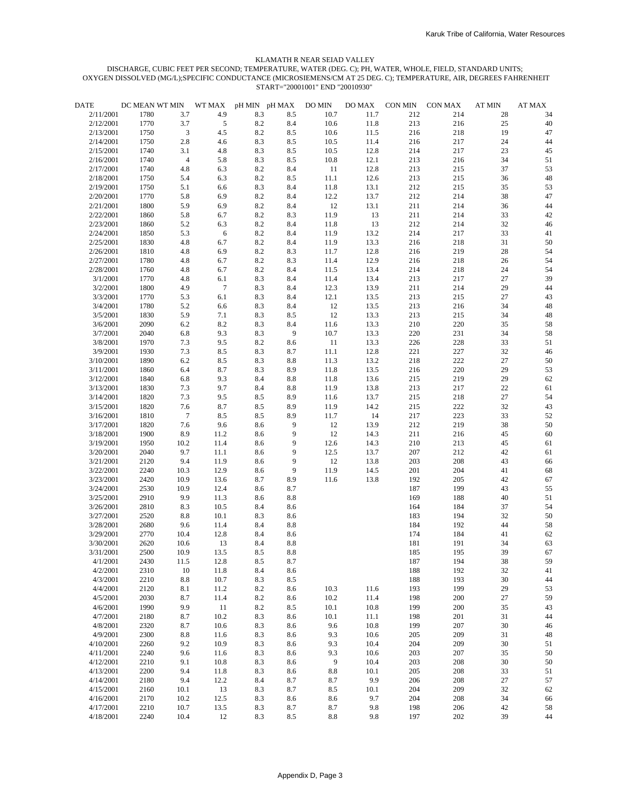| <b>DATE</b>            | DC MEAN WT MIN |                 | WT MAX         |            | pH MIN pH MAX  | DO MIN          | DO MAX       | CON MIN    | CON MAX    | <b>AT MIN</b> | <b>AT MAX</b> |
|------------------------|----------------|-----------------|----------------|------------|----------------|-----------------|--------------|------------|------------|---------------|---------------|
| 2/11/2001              | 1780           | 3.7             | 4.9            | 8.3        | 8.5            | 10.7            | 11.7         | 212        | 214        | 28            | 34            |
| 2/12/2001              | 1770           | 3.7             | $\sqrt{5}$     | 8.2        | 8.4            | 10.6            | 11.8         | 213        | 216        | 25            | 40            |
| 2/13/2001              | 1750           | 3               | 4.5            | 8.2        | $8.5\,$        | 10.6            | 11.5         | 216        | 218        | 19            | 47            |
| 2/14/2001              | 1750           | 2.8             | 4.6            | 8.3        | $8.5\,$        | 10.5            | 11.4         | 216        | 217        | 24            | 44            |
| 2/15/2001              | 1740           | 3.1             | 4.8            | 8.3        | $8.5\,$        | 10.5            | 12.8         | 214        | 217        | 23            | 45            |
| 2/16/2001              | 1740           | $\overline{4}$  | 5.8            | 8.3        | 8.5            | 10.8            | 12.1         | 213        | 216        | 34            | 51            |
| 2/17/2001              | 1740           | 4.8             | 6.3            | 8.2        | $8.4\,$        | 11              | 12.8         | 213        | 215        | 37            | 53            |
| 2/18/2001              | 1750           | 5.4             | 6.3            | 8.2        | $8.5\,$        | 11.1            | 12.6         | 213        | 215        | 36            | $48\,$        |
| 2/19/2001              | 1750           | 5.1             | 6.6            | 8.3        | 8.4            | 11.8            | 13.1         | 212        | 215        | 35            | 53            |
| 2/20/2001<br>2/21/2001 | 1770<br>1800   | 5.8<br>5.9      | 6.9<br>6.9     | 8.2<br>8.2 | 8.4            | 12.2<br>12      | 13.7<br>13.1 | 212<br>211 | 214<br>214 | 38<br>36      | 47<br>44      |
| 2/22/2001              | 1860           | 5.8             | 6.7            | 8.2        | 8.4<br>8.3     | 11.9            | 13           | 211        | 214        | 33            | 42            |
| 2/23/2001              | 1860           | 5.2             | 6.3            | 8.2        | 8.4            | 11.8            | 13           | 212        | 214        | 32            | 46            |
| 2/24/2001              | 1850           | 5.3             | 6              | 8.2        | 8.4            | 11.9            | 13.2         | 214        | 217        | 33            | 41            |
| 2/25/2001              | 1830           | 4.8             | 6.7            | 8.2        | 8.4            | 11.9            | 13.3         | 216        | 218        | 31            | 50            |
| 2/26/2001              | 1810           | 4.8             | 6.9            | 8.2        | 8.3            | 11.7            | 12.8         | 216        | 219        | 28            | 54            |
| 2/27/2001              | 1780           | 4.8             | 6.7            | 8.2        | 8.3            | 11.4            | 12.9         | 216        | 218        | 26            | 54            |
| 2/28/2001              | 1760           | 4.8             | 6.7            | 8.2        | 8.4            | 11.5            | 13.4         | 214        | 218        | 24            | 54            |
| 3/1/2001               | 1770           | 4.8             | 6.1            | 8.3        | $\ \ 8.4$      | 11.4            | 13.4         | 213        | 217        | 27            | 39            |
| 3/2/2001               | 1800           | 4.9             | $\overline{7}$ | 8.3        | 8.4            | 12.3            | 13.9         | 211        | 214        | 29            | 44            |
| 3/3/2001               | 1770           | 5.3             | 6.1            | 8.3        | 8.4            | 12.1            | 13.5         | 213        | 215        | 27            | 43            |
| 3/4/2001               | 1780           | 5.2             | 6.6            | 8.3        | 8.4            | 12              | 13.5         | 213        | 216        | 34            | 48            |
| 3/5/2001               | 1830           | 5.9             | 7.1            | 8.3        | $8.5\,$        | $12\,$          | 13.3         | 213        | 215        | 34            | 48            |
| 3/6/2001               | 2090           | 6.2             | 8.2            | 8.3        | 8.4            | 11.6            | 13.3         | 210        | 220        | 35            | 58            |
| 3/7/2001               | 2040           | 6.8             | 9.3            | 8.3        | $\overline{9}$ | 10.7            | 13.3         | 220        | 231        | 34            | 58            |
| 3/8/2001               | 1970           | 7.3             | 9.5            | 8.2        | 8.6            | 11              | 13.3         | 226        | 228        | 33            | 51            |
| 3/9/2001               | 1930           | 7.3             | 8.5            | 8.3        | 8.7            | 11.1            | 12.8         | 221        | 227        | 32            | 46            |
| 3/10/2001              | 1890           | 6.2             | 8.5            | 8.3        | $8.8\,$        | 11.3            | 13.2         | 218        | 222        | 27            | 50            |
| 3/11/2001              | 1860           | 6.4             | 8.7            | 8.3        | 8.9            | 11.8            | 13.5         | 216        | 220        | 29            | 53            |
| 3/12/2001              | 1840           | 6.8             | 9.3            | 8.4        | $8.8\,$        | 11.8            | 13.6         | 215        | 219        | 29            | 62            |
| 3/13/2001              | 1830           | 7.3             | 9.7            | 8.4        | $8.8\,$        | 11.9            | 13.8         | 213        | 217        | 22            | 61            |
| 3/14/2001              | 1820           | 7.3             | 9.5            | 8.5        | 8.9            | 11.6            | 13.7         | 215        | 218        | 27            | 54            |
| 3/15/2001              | 1820           | 7.6             | 8.7            | 8.5        | 8.9            | 11.9            | 14.2         | 215        | 222        | 32            | 43            |
| 3/16/2001              | 1810           | $7\phantom{.0}$ | 8.5            | 8.5        | 8.9            | 11.7            | 14           | 217        | 223        | 33            | 52            |
| 3/17/2001              | 1820           | 7.6             | 9.6            | 8.6        | 9              | 12              | 13.9         | 212        | 219        | 38            | 50            |
| 3/18/2001              | 1900           | 8.9             | 11.2           | 8.6        | 9              | 12              | 14.3         | 211        | 216        | 45            | 60            |
| 3/19/2001              | 1950           | 10.2            | 11.4           | 8.6        | 9              | 12.6            | 14.3         | 210        | 213        | 45            | 61            |
| 3/20/2001              | 2040           | 9.7             | 11.1           | 8.6        | 9              | 12.5            | 13.7         | 207        | 212        | 42            | 61            |
| 3/21/2001              | 2120           | 9.4             | 11.9           | 8.6        | 9              | $12\,$          | 13.8         | 203        | 208        | 43            | 66            |
| 3/22/2001              | 2240           | 10.3            | 12.9           | 8.6        | 9              | 11.9            | 14.5         | 201        | 204        | 41            | 68            |
| 3/23/2001              | 2420           | 10.9            | 13.6           | 8.7        | 8.9            | 11.6            | 13.8         | 192        | 205        | 42            | 67            |
| 3/24/2001              | 2530           | 10.9            | 12.4           | 8.6        | 8.7            |                 |              | 187        | 199        | 43            | 55            |
| 3/25/2001              | 2910           | 9.9             | 11.3           | 8.6        | $8.8\,$        |                 |              | 169        | 188        | 40            | 51            |
| 3/26/2001<br>3/27/2001 | 2810           | 8.3             | 10.5           | 8.4        | 8.6            |                 |              | 164        | 184        | 37            | 54<br>50      |
| 3/28/2001              | 2520<br>2680   | $8.8\,$<br>9.6  | 10.1<br>11.4   | 8.3<br>8.4 | 8.6<br>8.8     |                 |              | 183<br>184 | 194<br>192 | 32<br>44      | 58            |
| 3/29/2001              | 2770           | 10.4            | 12.8           | 8.4        | 8.6            |                 |              | 174        | 184        | 41            | 62            |
| 3/30/2001              | 2620           | 10.6            | 13             | 8.4        | 8.8            |                 |              | 181        | 191        | 34            | 63            |
| 3/31/2001              | 2500           | 10.9            | 13.5           | 8.5        | 8.8            |                 |              | 185        | 195        | 39            | 67            |
| 4/1/2001               | 2430           | 11.5            | 12.8           | 8.5        | 8.7            |                 |              | 187        | 194        | 38            | 59            |
| 4/2/2001               | 2310           | 10              | 11.8           | 8.4        | 8.6            |                 |              | 188        | 192        | 32            | $41\,$        |
| 4/3/2001               | 2210           | $8.8\,$         | 10.7           | 8.3        | 8.5            |                 |              | 188        | 193        | 30            | 44            |
| 4/4/2001               | 2120           | 8.1             | 11.2           | 8.2        | 8.6            | 10.3            | 11.6         | 193        | 199        | 29            | 53            |
| 4/5/2001               | 2030           | 8.7             | 11.4           | 8.2        | 8.6            | 10.2            | 11.4         | 198        | 200        | 27            | 59            |
| 4/6/2001               | 1990           | 9.9             | 11             | 8.2        | 8.5            | 10.1            | 10.8         | 199        | 200        | 35            | 43            |
| 4/7/2001               | 2180           | 8.7             | 10.2           | 8.3        | 8.6            | 10.1            | 11.1         | 198        | 201        | 31            | 44            |
| 4/8/2001               | 2320           | 8.7             | 10.6           | 8.3        | 8.6            | 9.6             | 10.8         | 199        | 207        | 30            | 46            |
| 4/9/2001               | 2300           | $8.8\,$         | 11.6           | 8.3        | 8.6            | 9.3             | 10.6         | 205        | 209        | 31            | 48            |
| 4/10/2001              | 2260           | 9.2             | 10.9           | 8.3        | 8.6            | 9.3             | 10.4         | 204        | 209        | 30            | 51            |
| 4/11/2001              | 2240           | 9.6             | 11.6           | 8.3        | 8.6            | 9.3             | 10.6         | 203        | 207        | 35            | 50            |
| 4/12/2001              | 2210           | 9.1             | 10.8           | 8.3        | 8.6            | 9               | 10.4         | 203        | 208        | 30            | 50            |
| 4/13/2001              | 2200           | 9.4             | 11.8           | 8.3        | 8.6            | $\ \, 8.8$      | 10.1         | 205        | 208        | 33            | 51            |
| 4/14/2001              | 2180           | 9.4             | 12.2           | 8.4        | 8.7            | 8.7             | 9.9          | 206        | 208        | 27            | 57            |
| 4/15/2001              | 2160           | 10.1            | 13             | 8.3        | 8.7            | 8.5             | 10.1         | 204        | 209        | 32            | 62            |
| 4/16/2001              | 2170           | 10.2            | 12.5           | 8.3        | 8.6            | 8.6             | 9.7          | 204        | 208        | 34            | 66            |
| 4/17/2001              | 2210           | 10.7            | 13.5           | 8.3        | 8.7            | 8.7             | 9.8          | 198        | 206        | $42\,$        | 58            |
| 4/18/2001              | 2240           | 10.4            | 12             | 8.3        | $8.5\,$        | $\!\!\!\!\!8.8$ | 9.8          | 197        | 202        | 39            | 44            |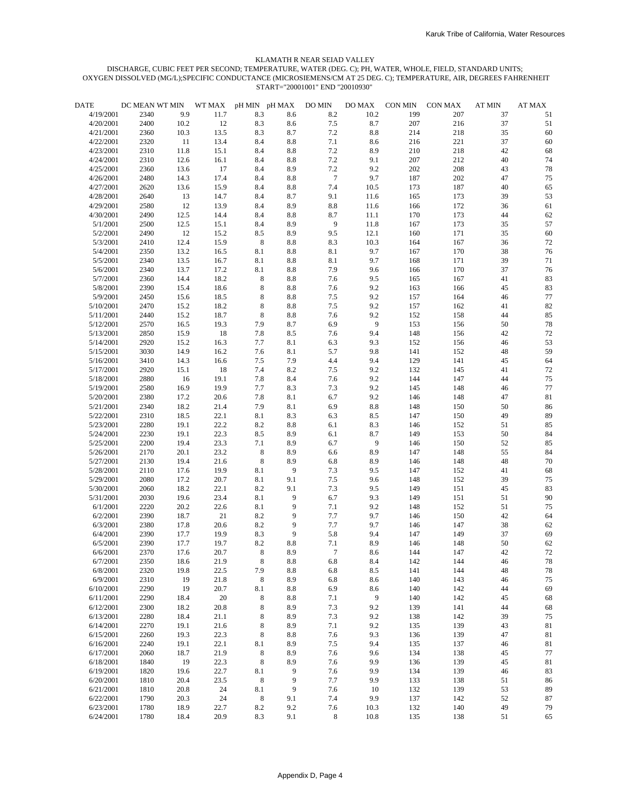| <b>DATE</b> | DC MEAN WT MIN |      | WT MAX | pH MIN pH MAX |         | DO MIN           | DO MAX  | <b>CON MIN</b> | CON MAX | <b>AT MIN</b> | <b>AT MAX</b> |
|-------------|----------------|------|--------|---------------|---------|------------------|---------|----------------|---------|---------------|---------------|
| 4/19/2001   | 2340           | 9.9  | 11.7   | 8.3           | 8.6     | 8.2              | 10.2    | 199            | 207     | 37            | 51            |
| 4/20/2001   | 2400           | 10.2 | 12     | 8.3           | 8.6     | 7.5              | 8.7     | 207            | 216     | 37            | 51            |
| 4/21/2001   | 2360           | 10.3 | 13.5   | 8.3           | 8.7     | 7.2              | 8.8     | 214            | 218     | 35            | 60            |
| 4/22/2001   | 2320           | 11   | 13.4   | 8.4           | $8.8\,$ | 7.1              | 8.6     | 216            | 221     | 37            | $60\,$        |
| 4/23/2001   | 2310           | 11.8 | 15.1   | 8.4           | $8.8\,$ | 7.2              | 8.9     | 210            | 218     | 42            | 68            |
| 4/24/2001   | 2310           | 12.6 | 16.1   | 8.4           | 8.8     | 7.2              | 9.1     | 207            | 212     | 40            | 74            |
| 4/25/2001   | 2360           | 13.6 | 17     | 8.4           | 8.9     | 7.2              | 9.2     | 202            | 208     | 43            | 78            |
| 4/26/2001   | 2480           | 14.3 | 17.4   | 8.4           | $8.8\,$ | $7\phantom{.0}$  | 9.7     | 187            | 202     | 47            | 75            |
| 4/27/2001   | 2620           | 13.6 | 15.9   | 8.4           | 8.8     | 7.4              | 10.5    | 173            | 187     | 40            | 65            |
| 4/28/2001   | 2640           | 13   | 14.7   | 8.4           | 8.7     | 9.1              | 11.6    | 165            | 173     | 39            | 53            |
| 4/29/2001   | 2580           | 12   | 13.9   | 8.4           | 8.9     | $\ \, 8.8$       | 11.6    | 166            | 172     | 36            | 61            |
| 4/30/2001   | 2490           | 12.5 | 14.4   | 8.4           | 8.8     | 8.7              | 11.1    | 170            | 173     | 44            | 62            |
| 5/1/2001    | 2500           | 12.5 | 15.1   | 8.4           | 8.9     | $\boldsymbol{9}$ | 11.8    | 167            | 173     | 35            | 57            |
| 5/2/2001    | 2490           | 12   | 15.2   | 8.5           | 8.9     | 9.5              | 12.1    | 160            | 171     | 35            | $60\,$        |
| 5/3/2001    | 2410           | 12.4 | 15.9   | 8             | 8.8     | 8.3              | 10.3    | 164            | 167     | 36            | 72            |
| 5/4/2001    | 2350           | 13.2 | 16.5   | 8.1           | $8.8\,$ | 8.1              | 9.7     | 167            | 170     | 38            | 76            |
| 5/5/2001    | 2340           | 13.5 | 16.7   | 8.1           | 8.8     | 8.1              | 9.7     | 168            | 171     | 39            | 71            |
| 5/6/2001    | 2340           | 13.7 | 17.2   | 8.1           | 8.8     | 7.9              | 9.6     | 166            | 170     | 37            | 76            |
| 5/7/2001    | 2360           | 14.4 | 18.2   | 8             | $8.8\,$ | 7.6              | 9.5     | 165            | 167     | 41            | 83            |
| 5/8/2001    | 2390           | 15.4 | 18.6   | 8             | 8.8     | 7.6              | 9.2     | 163            | 166     | 45            | 83            |
| 5/9/2001    | 2450           | 15.6 | 18.5   | 8             | 8.8     | 7.5              | 9.2     | 157            | 164     | 46            | 77            |
| 5/10/2001   | 2470           | 15.2 | 18.2   | 8             | 8.8     | 7.5              | 9.2     | 157            | 162     | 41            | 82            |
| 5/11/2001   | 2440           | 15.2 | 18.7   | 8             | $8.8\,$ | 7.6              | 9.2     | 152            | 158     | 44            | 85            |
| 5/12/2001   | 2570           | 16.5 | 19.3   | 7.9           | 8.7     | 6.9              | 9       | 153            | 156     | 50            | 78            |
| 5/13/2001   | 2850           | 15.9 | 18     | 7.8           | 8.5     | 7.6              | 9.4     | 148            | 156     | 42            | 72            |
| 5/14/2001   | 2920           | 15.2 | 16.3   | 7.7           | 8.1     | 6.3              | 9.3     | 152            | 156     | 46            | 53            |
| 5/15/2001   | 3030           | 14.9 | 16.2   | 7.6           | 8.1     | 5.7              | 9.8     | 141            | 152     | 48            | 59            |
| 5/16/2001   | 3410           | 14.3 | 16.6   | 7.5           | 7.9     | 4.4              | 9.4     | 129            | 141     | 45            | 64            |
| 5/17/2001   | 2920           | 15.1 | 18     | 7.4           | 8.2     | $7.5\,$          | 9.2     | 132            | 145     | 41            | 72            |
| 5/18/2001   | 2880           | 16   | 19.1   | 7.8           | 8.4     | 7.6              | 9.2     | 144            | 147     | 44            | 75            |
| 5/19/2001   | 2580           | 16.9 | 19.9   | 7.7           | 8.3     | 7.3              | 9.2     | 145            | 148     | 46            | 77            |
| 5/20/2001   | 2380           | 17.2 | 20.6   | 7.8           | 8.1     | 6.7              | 9.2     | 146            | 148     | 47            | 81            |
| 5/21/2001   | 2340           | 18.2 | 21.4   | 7.9           | 8.1     | 6.9              | 8.8     | 148            | 150     | 50            | 86            |
| 5/22/2001   | 2310           | 18.5 | 22.1   | 8.1           | 8.3     | 6.3              | 8.5     | 147            | 150     | 49            | 89            |
| 5/23/2001   | 2280           | 19.1 | 22.2   | 8.2           | $8.8\,$ | 6.1              | 8.3     | 146            | 152     | 51            | 85            |
| 5/24/2001   | 2230           | 19.1 | 22.3   | 8.5           | 8.9     | 6.1              | 8.7     | 149            | 153     | 50            | 84            |
| 5/25/2001   | 2200           | 19.4 | 23.3   | 7.1           | 8.9     | 6.7              | 9       | 146            | 150     | 52            | 85            |
| 5/26/2001   | 2170           | 20.1 | 23.2   | $\,8\,$       | 8.9     | 6.6              | 8.9     | 147            | 148     | 55            | 84            |
| 5/27/2001   | 2130           | 19.4 | 21.6   | 8             | 8.9     | 6.8              | 8.9     | 146            | 148     | 48            | 70            |
| 5/28/2001   | 2110           | 17.6 | 19.9   | 8.1           | 9       | 7.3              | 9.5     | 147            | 152     | 41            | 68            |
| 5/29/2001   | 2080           | 17.2 | 20.7   | 8.1           | 9.1     | 7.5              | 9.6     | 148            | 152     | 39            | 75            |
| 5/30/2001   | 2060           | 18.2 | 22.1   | 8.2           | 9.1     | 7.3              | 9.5     | 149            | 151     | 45            | 83            |
| 5/31/2001   | 2030           | 19.6 | 23.4   | 8.1           | 9       | 6.7              | 9.3     | 149            | 151     | 51            | 90            |
| 6/1/2001    | 2220           | 20.2 | 22.6   | 8.1           | 9       | 7.1              | 9.2     | 148            | 152     | 51            | 75            |
| 6/2/2001    | 2390           | 18.7 | 21     | 8.2           | 9       | 7.7              | 9.7     | 146            | 150     | 42            | 64            |
| 6/3/2001    | 2380           | 17.8 | 20.6   | 8.2           | 9       | 7.7              | 9.7     | 146            | 147     | 38            | 62            |
| 6/4/2001    | 2390           | 17.7 | 19.9   | 8.3           | 9       | 5.8              | 9.4     | 147            | 149     | 37            | 69            |
| 6/5/2001    | 2390           | 17.7 | 19.7   | 8.2           | 8.8     | 7.1              | 8.9     | 146            | 148     | 50            | 62            |
| 6/6/2001    | 2370           | 17.6 | 20.7   | 8             | 8.9     | $\tau$           | 8.6     | 144            | 147     | 42            | 72            |
| 6/7/2001    | 2350           | 18.6 | 21.9   | 8             | 8.8     | 6.8              | 8.4     | 142            | 144     | 46            | 78            |
| 6/8/2001    | 2320           | 19.8 | 22.5   | 7.9           | $8.8\,$ | 6.8              | $8.5\,$ | 141            | 144     | 48            | 78            |
| 6/9/2001    | 2310           | 19   | 21.8   | 8             | 8.9     | 6.8              | 8.6     | 140            | 143     | 46            | 75            |
| 6/10/2001   | 2290           | 19   | 20.7   | 8.1           | 8.8     | 6.9              | 8.6     | 140            | 142     | 44            | 69            |
| 6/11/2001   | 2290           | 18.4 | 20     | 8             | 8.8     | 7.1              | 9       | 140            | 142     | 45            | 68            |
| 6/12/2001   | 2300           | 18.2 | 20.8   | 8             | 8.9     | 7.3              | 9.2     | 139            | 141     | 44            | 68            |
| 6/13/2001   | 2280           | 18.4 | 21.1   | 8             | 8.9     | 7.3              | 9.2     | 138            | 142     | 39            | 75            |
| 6/14/2001   | 2270           | 19.1 | 21.6   | 8             | 8.9     | 7.1              | 9.2     | 135            | 139     | 43            | 81            |
| 6/15/2001   | 2260           | 19.3 | 22.3   | 8             | 8.8     | 7.6              | 9.3     | 136            | 139     | 47            | 81            |
| 6/16/2001   | 2240           | 19.1 | 22.1   | 8.1           | 8.9     | $7.5\,$          | 9.4     | 135            | 137     | 46            | 81            |
| 6/17/2001   | 2060           | 18.7 | 21.9   | 8             | 8.9     | 7.6              | 9.6     | 134            | 138     | 45            | 77            |
| 6/18/2001   | 1840           | 19   | 22.3   | 8             | 8.9     | 7.6              | 9.9     | 136            | 139     | 45            | 81            |
| 6/19/2001   | 1820           | 19.6 | 22.7   | 8.1           | 9       | 7.6              | 9.9     | 134            | 139     | 46            | 83            |
| 6/20/2001   | 1810           | 20.4 | 23.5   | $\,8\,$       | 9       | 7.7              | 9.9     | 133            | 138     | 51            | 86            |
| 6/21/2001   | 1810           | 20.8 | $24\,$ | 8.1           | 9       | 7.6              | 10      | 132            | 139     | 53            | 89            |
| 6/22/2001   | 1790           | 20.3 | $24\,$ | $\,8\,$       | 9.1     | 7.4              | 9.9     | 137            | 142     | 52            | 87            |
| 6/23/2001   | 1780           | 18.9 | 22.7   | 8.2           | 9.2     | 7.6              | 10.3    | 132            | 140     | 49            | 79            |
| 6/24/2001   | 1780           | 18.4 | 20.9   | 8.3           | 9.1     | $\,8\,$          | 10.8    | 135            | 138     | 51            | 65            |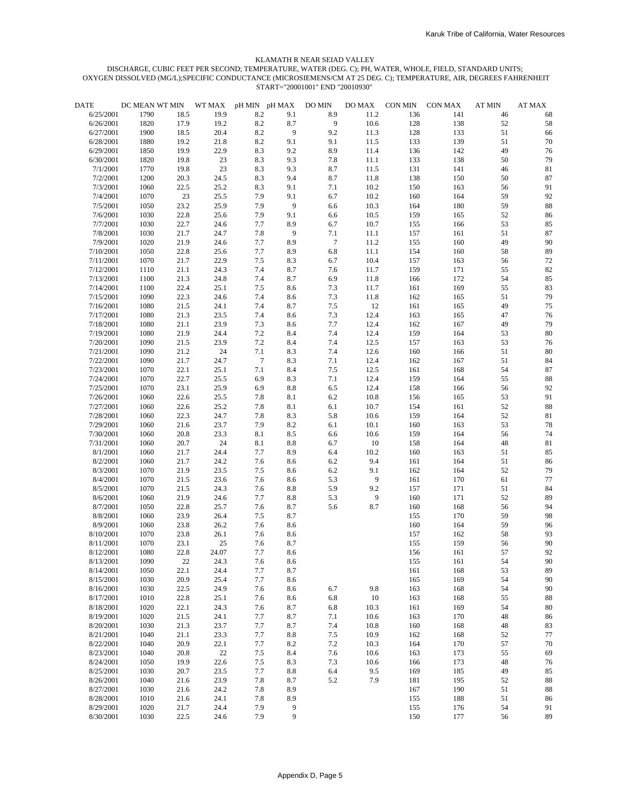| <b>DATE</b> | DC MEAN WT MIN |      | WT MAX | pH MIN pH MAX  |                | DO MIN          | DO MAX | <b>CON MIN</b> | CON MAX | <b>AT MIN</b> | <b>AT MAX</b> |
|-------------|----------------|------|--------|----------------|----------------|-----------------|--------|----------------|---------|---------------|---------------|
| 6/25/2001   | 1790           | 18.5 | 19.9   | 8.2            | 9.1            | 8.9             | 11.2   | 136            | 141     | 46            | 68            |
| 6/26/2001   | 1820           | 17.9 | 19.2   | 8.2            | 8.7            | 9               | 10.6   | 128            | 138     | 52            | 58            |
| 6/27/2001   | 1900           | 18.5 | 20.4   | 8.2            | 9              | 9.2             | 11.3   | 128            | 133     | 51            | 66            |
| 6/28/2001   | 1880           | 19.2 | 21.8   | 8.2            | 9.1            | 9.1             | 11.5   | 133            | 139     | 51            | 70            |
| 6/29/2001   | 1850           | 19.9 | 22.9   | 8.3            | 9.2            | 8.9             | 11.4   | 136            | 142     | 49            | 76            |
| 6/30/2001   | 1820           | 19.8 | 23     | 8.3            | 9.3            | 7.8             | 11.1   | 133            | 138     | 50            | 79            |
| 7/1/2001    | 1770           | 19.8 | 23     | 8.3            | 9.3            | 8.7             | 11.5   | 131            | 141     | 46            | 81            |
| 7/2/2001    | 1200           | 20.3 | 24.5   | 8.3            | 9.4            | 8.7             | 11.8   | 138            | 150     | 50            | 87            |
| 7/3/2001    | 1060           | 22.5 | 25.2   | 8.3            | 9.1            | 7.1             | 10.2   | 150            | 163     | 56            | 91            |
| 7/4/2001    | 1070           | 23   | 25.5   | 7.9            | 9.1            | 6.7             | 10.2   | 160            | 164     | 59            | 92            |
| 7/5/2001    | 1050           | 23.2 | 25.9   | 7.9            | $\overline{9}$ | 6.6             | 10.3   | 164            | 180     | 59            | 88            |
| 7/6/2001    | 1030           | 22.8 | 25.6   | 7.9            | 9.1            | 6.6             | 10.5   | 159            | 165     | 52            | 86            |
| 7/7/2001    | 1030           | 22.7 | 24.6   | 7.7            | 8.9            | 6.7             | 10.7   | 155            | 166     | 53            | 85            |
| 7/8/2001    | 1030           | 21.7 | 24.7   | 7.8            | 9              | 7.1             | 11.1   | 157            | 161     | 51            | 87            |
| 7/9/2001    | 1020           | 21.9 | 24.6   | 7.7            | 8.9            | $7\phantom{.0}$ | 11.2   | 155            | 160     | 49            | 90            |
| 7/10/2001   | 1050           | 22.8 | 25.6   | 7.7            | 8.9            | 6.8             | 11.1   | 154            | 160     | 58            | 89            |
| 7/11/2001   | 1070           | 21.7 | 22.9   | 7.5            | 8.3            | 6.7             | 10.4   | 157            | 163     | 56            | 72            |
| 7/12/2001   | 1110           | 21.1 | 24.3   | 7.4            | 8.7            | 7.6             | 11.7   | 159            | 171     | 55            | 82            |
| 7/13/2001   | 1100           | 21.3 | 24.8   | 7.4            | 8.7            | 6.9             | 11.8   | 166            | 172     | 54            | 85            |
| 7/14/2001   | 1100           | 22.4 | 25.1   | 7.5            | 8.6            | 7.3             | 11.7   | 161            | 169     | 55            | 83            |
| 7/15/2001   | 1090           | 22.3 | 24.6   | 7.4            | 8.6            | 7.3             | 11.8   | 162            | 165     | 51            | 79            |
| 7/16/2001   | 1080           | 21.5 | 24.1   | 7.4            | 8.7            | 7.5             | 12     | 161            | 165     | 49            | 75            |
| 7/17/2001   | 1080           | 21.3 | 23.5   | 7.4            | 8.6            | 7.3             | 12.4   | 163            | 165     | 47            | 76            |
| 7/18/2001   | 1080           | 21.1 | 23.9   | 7.3            | 8.6            | 7.7             | 12.4   | 162            | 167     | 49            | 79            |
| 7/19/2001   | 1080           | 21.9 | 24.4   | 7.2            | 8.4            | 7.4             | 12.4   | 159            | 164     | 53            | $80\,$        |
| 7/20/2001   | 1090           | 21.5 | 23.9   | 7.2            | 8.4            | 7.4             | 12.5   | 157            | 163     | 53            | 76            |
| 7/21/2001   | 1090           | 21.2 | $24\,$ | 7.1            | 8.3            | 7.4             | 12.6   | 160            | 166     | 51            | 80            |
| 7/22/2001   | 1090           | 21.7 | 24.7   | $\overline{7}$ | 8.3            | 7.1             | 12.4   | 162            | 167     | 51            | 84            |
| 7/23/2001   | 1070           | 22.1 | 25.1   | 7.1            | 8.4            | $7.5\,$         | 12.5   | 161            | 168     | 54            | 87            |
| 7/24/2001   | 1070           | 22.7 | 25.5   | 6.9            | 8.3            | 7.1             | 12.4   | 159            | 164     | 55            | 88            |
| 7/25/2001   | 1070           | 23.1 | 25.9   | 6.9            | $8.8\,$        | 6.5             | 12.4   | 158            | 166     | 56            | 92            |
| 7/26/2001   | 1060           | 22.6 | 25.5   | 7.8            | 8.1            | 6.2             | 10.8   | 156            | 165     | 53            | 91            |
| 7/27/2001   | 1060           | 22.6 | 25.2   | 7.8            | 8.1            | $6.1\,$         | 10.7   | 154            | 161     | 52            | 88            |
| 7/28/2001   | 1060           | 22.3 | 24.7   | 7.8            | 8.3            | 5.8             | 10.6   | 159            | 164     | 52            | 81            |
| 7/29/2001   | 1060           | 21.6 | 23.7   | 7.9            | 8.2            | $6.1\,$         | 10.1   | 160            | 163     | 53            | 78            |
| 7/30/2001   | 1060           | 20.8 | 23.3   | 8.1            | 8.5            | 6.6             | 10.6   | 159            | 164     | 56            | 74            |
| 7/31/2001   | 1060           | 20.7 | 24     | 8.1            | 8.8            | 6.7             | 10     | 158            | 164     | 48            | 81            |
| 8/1/2001    | 1060           | 21.7 | 24.4   | 7.7            | 8.9            | 6.4             | 10.2   | 160            | 163     | 51            | 85            |
| 8/2/2001    | 1060           | 21.7 | 24.2   | 7.6            | 8.6            | $6.2\,$         | 9.4    | 161            | 164     | 51            | 86            |
| 8/3/2001    | 1070           | 21.9 | 23.5   | 7.5            | 8.6            | 6.2             | 9.1    | 162            | 164     | 52            | 79            |
| 8/4/2001    | 1070           | 21.5 | 23.6   | 7.6            | 8.6            | 5.3             | 9      | 161            | 170     | 61            | 77            |
| 8/5/2001    | 1070           | 21.5 | 24.3   | 7.6            | 8.8            | 5.9             | 9.2    | 157            | 171     | 51            | 84            |
| 8/6/2001    | 1060           | 21.9 | 24.6   | 7.7            | $8.8\,$        | 5.3             | 9      | 160            | 171     | 52            | 89            |
| 8/7/2001    | 1050           | 22.8 | 25.7   | 7.6            | 8.7            | 5.6             | 8.7    | 160            | 168     | 56            | 94            |
| 8/8/2001    | 1060           | 23.9 | 26.4   | 7.5            | 8.7            |                 |        | 155            | 170     | 59            | 98            |
| 8/9/2001    | 1060           | 23.8 | 26.2   | 7.6            | 8.6            |                 |        | 160            | 164     | 59            | 96            |
| 8/10/2001   | 1070           | 23.8 | 26.1   | 7.6            | 8.6            |                 |        | 157            | 162     | 58            | 93            |
| 8/11/2001   | 1070           | 23.1 | 25     | 7.6            | 8.7            |                 |        | 155            | 159     | 56            | 90            |
| 8/12/2001   | 1080           | 22.8 | 24.07  | 7.7            | 8.6            |                 |        | 156            | 161     | 57            | 92            |
| 8/13/2001   | 1090           | 22   | 24.3   | 7.6            | 8.6            |                 |        | 155            | 161     | 54            | 90            |
| 8/14/2001   | 1050           | 22.1 | 24.4   | 7.7            | 8.7            |                 |        | 161            | 168     | 53            | 89            |
| 8/15/2001   | 1030           | 20.9 | 25.4   | 7.7            | 8.6            |                 |        | 165            | 169     | 54            | 90            |
| 8/16/2001   | 1030           | 22.5 | 24.9   | 7.6            | 8.6            | 6.7             | 9.8    | 163            | 168     | 54            | 90            |
| 8/17/2001   | 1010           | 22.8 | 25.1   | 7.6            | 8.6            | 6.8             | 10     | 163            | 168     | 55            | 88            |
| 8/18/2001   | 1020           | 22.1 | 24.3   | 7.6            | 8.7            | 6.8             | 10.3   | 161            | 169     | 54            | 80            |
| 8/19/2001   | 1020           | 21.5 | 24.1   | 7.7            | 8.7            | 7.1             | 10.6   | 163            | 170     | 48            | 86            |
| 8/20/2001   | 1030           | 21.3 | 23.7   | 7.7            | 8.7            | 7.4             | 10.8   | 160            | 168     | 48            | 83            |
| 8/21/2001   | 1040           | 21.1 | 23.3   | 7.7            | 8.8            | 7.5             | 10.9   | 162            | 168     | 52            | 77            |
| 8/22/2001   | 1040           | 20.9 | 22.1   | 7.7            | 8.2            | 7.2             | 10.3   | 164            | 170     | 57            | 70            |
| 8/23/2001   | 1040           | 20.8 | $22\,$ | 7.5            | 8.4            | 7.6             | 10.6   | 163            | 173     | 55            | 69            |
| 8/24/2001   | 1050           | 19.9 | 22.6   | 7.5            | 8.3            | 7.3             | 10.6   | 166            | 173     | 48            | 76            |
| 8/25/2001   | 1030           | 20.7 | 23.5   | 7.7            | 8.8            | 6.4             | 9.5    | 169            | 185     | 49            | 85            |
| 8/26/2001   | 1040           | 21.6 | 23.9   | 7.8            | 8.7            | 5.2             | 7.9    | 181            | 195     | 52            | 88            |
| 8/27/2001   | 1030           | 21.6 | 24.2   | 7.8            | 8.9            |                 |        | 167            | 190     | 51            | 88            |
| 8/28/2001   | 1010           | 21.6 | 24.1   | 7.8            | 8.9            |                 |        | 155            | 188     | 51            | 86            |
| 8/29/2001   | 1020           | 21.7 | 24.4   | 7.9            | 9              |                 |        | 155            | 176     | 54            | 91            |
| 8/30/2001   | 1030           | 22.5 | 24.6   | 7.9            | 9              |                 |        | 150            | 177     | 56            | 89            |